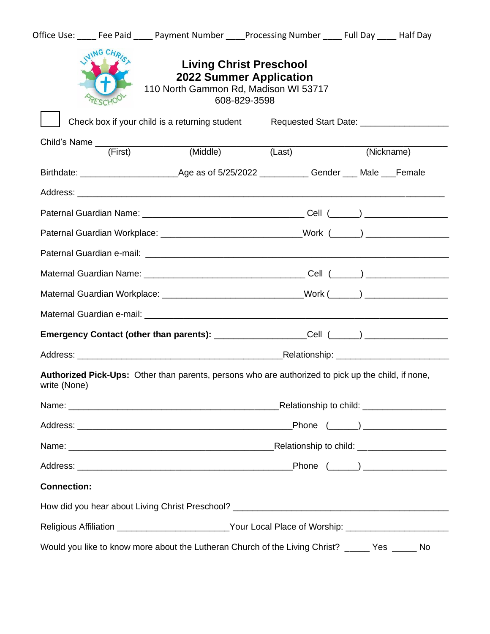|                                                                                         |               | Office Use: Fee Paid Payment Number Processing Number Full Day Ralf Day                              |                                                                                                                           |  |            |
|-----------------------------------------------------------------------------------------|---------------|------------------------------------------------------------------------------------------------------|---------------------------------------------------------------------------------------------------------------------------|--|------------|
|                                                                                         | <b>JG CHI</b> |                                                                                                      | <b>Living Christ Preschool</b><br><b>2022 Summer Application</b><br>110 North Gammon Rd, Madison WI 53717<br>608-829-3598 |  |            |
|                                                                                         |               | Check box if your child is a returning student Requested Start Date: ____________                    |                                                                                                                           |  |            |
|                                                                                         |               | Child's Name (First) (Middle)                                                                        | (Last)                                                                                                                    |  | (Nickname) |
|                                                                                         |               |                                                                                                      |                                                                                                                           |  |            |
|                                                                                         |               |                                                                                                      |                                                                                                                           |  |            |
|                                                                                         |               |                                                                                                      |                                                                                                                           |  |            |
|                                                                                         |               | Paternal Guardian Workplace: _____________________________Work (_____) _____________________________ |                                                                                                                           |  |            |
|                                                                                         |               |                                                                                                      |                                                                                                                           |  |            |
|                                                                                         |               |                                                                                                      |                                                                                                                           |  |            |
| Maternal Guardian Workplace: _____________________________Work (_____) ________________ |               |                                                                                                      |                                                                                                                           |  |            |
|                                                                                         |               |                                                                                                      |                                                                                                                           |  |            |
|                                                                                         |               | Emergency Contact (other than parents): __________________Cell (_____) ________________              |                                                                                                                           |  |            |
|                                                                                         |               |                                                                                                      |                                                                                                                           |  |            |
| write (None)                                                                            |               | Authorized Pick-Ups: Other than parents, persons who are authorized to pick up the child, if none,   |                                                                                                                           |  |            |
|                                                                                         |               |                                                                                                      |                                                                                                                           |  |            |
|                                                                                         |               |                                                                                                      |                                                                                                                           |  |            |
|                                                                                         |               |                                                                                                      |                                                                                                                           |  |            |
|                                                                                         |               |                                                                                                      |                                                                                                                           |  |            |
| <b>Connection:</b>                                                                      |               |                                                                                                      |                                                                                                                           |  |            |
|                                                                                         |               |                                                                                                      |                                                                                                                           |  |            |
|                                                                                         |               |                                                                                                      | Religious Affiliation _________________________Your Local Place of Worship: _______________________                       |  |            |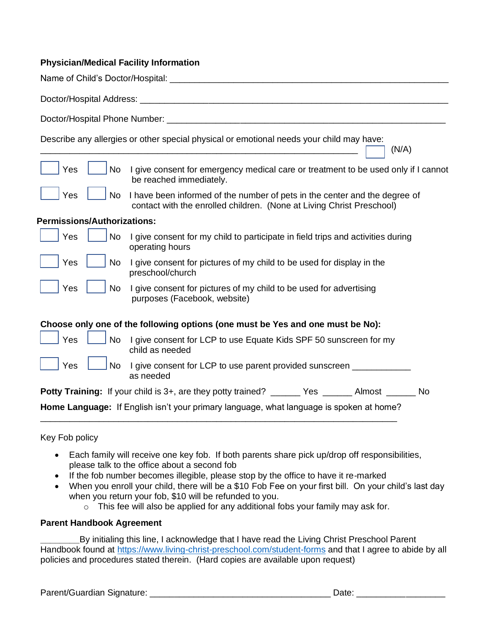#### **Physician/Medical Facility Information**

|                                    | Describe any allergies or other special physical or emotional needs your child may have:<br>(N/A)                                                   |
|------------------------------------|-----------------------------------------------------------------------------------------------------------------------------------------------------|
| Yes<br>No                          | I give consent for emergency medical care or treatment to be used only if I cannot<br>be reached immediately.                                       |
| Yes<br><b>No</b>                   | I have been informed of the number of pets in the center and the degree of<br>contact with the enrolled children. (None at Living Christ Preschool) |
| <b>Permissions/Authorizations:</b> |                                                                                                                                                     |
| Yes<br><b>No</b>                   | I give consent for my child to participate in field trips and activities during<br>operating hours                                                  |
| Yes<br><b>No</b>                   | I give consent for pictures of my child to be used for display in the<br>preschool/church                                                           |
| Yes<br><b>No</b>                   | I give consent for pictures of my child to be used for advertising<br>purposes (Facebook, website)                                                  |
|                                    | Choose only one of the following options (one must be Yes and one must be No):                                                                      |
| Yes<br><b>No</b>                   | I give consent for LCP to use Equate Kids SPF 50 sunscreen for my<br>child as needed                                                                |
| Yes<br><b>No</b>                   | I give consent for LCP to use parent provided sunscreen __________<br>as needed                                                                     |
|                                    | <b>Potty Training:</b> If your child is 3+, are they potty trained? ______ Yes ______ Almost _____ No                                               |
|                                    | Home Language: If English isn't your primary language, what language is spoken at home?                                                             |

Key Fob policy

- Each family will receive one key fob. If both parents share pick up/drop off responsibilities, please talk to the office about a second fob
- If the fob number becomes illegible, please stop by the office to have it re-marked
- When you enroll your child, there will be a \$10 Fob Fee on your first bill. On your child's last day when you return your fob, \$10 will be refunded to you.
	- $\circ$  This fee will also be applied for any additional fobs your family may ask for.

#### **Parent Handbook Agreement**

**\_\_\_\_\_\_\_\_**By initialing this line, I acknowledge that I have read the Living Christ Preschool Parent Handbook found at<https://www.living-christ-preschool.com/student-forms> and that I agree to abide by all policies and procedures stated therein. (Hard copies are available upon request)

Parent/Guardian Signature: \_\_\_\_\_\_\_\_\_\_\_\_\_\_\_\_\_\_\_\_\_\_\_\_\_\_\_\_\_\_\_\_\_\_\_\_\_ Date: \_\_\_\_\_\_\_\_\_\_\_\_\_\_\_\_\_\_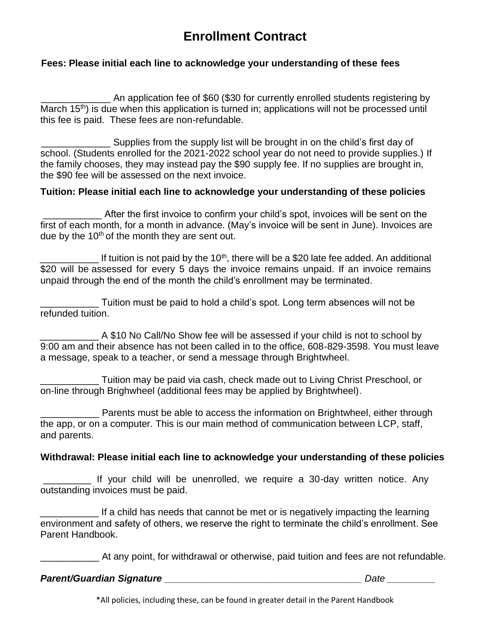# **Enrollment Contract**

## **Fees: Please initial each line to acknowledge your understanding of these fees**

\_\_\_\_\_\_\_\_\_\_\_\_\_ An application fee of \$60 (\$30 for currently enrolled students registering by March 15th) is due when this application is turned in; applications will not be processed until this fee is paid. These fees are non-refundable.

Supplies from the supply list will be brought in on the child's first day of school. (Students enrolled for the 2021-2022 school year do not need to provide supplies.) If the family chooses, they may instead pay the \$90 supply fee. If no supplies are brought in, the \$90 fee will be assessed on the next invoice.

## **Tuition: Please initial each line to acknowledge your understanding of these policies**

After the first invoice to confirm your child's spot, invoices will be sent on the first of each month, for a month in advance. (May's invoice will be sent in June). Invoices are due by the  $10<sup>th</sup>$  of the month they are sent out.

 $\_$  If tuition is not paid by the 10<sup>th</sup>, there will be a \$20 late fee added. An additional \$20 will be assessed for every 5 days the invoice remains unpaid. If an invoice remains unpaid through the end of the month the child's enrollment may be terminated.

\_\_\_\_\_\_\_\_\_\_\_ Tuition must be paid to hold a child's spot. Long term absences will not be refunded tuition.

\_\_\_\_\_\_\_\_\_\_\_ A \$10 No Call/No Show fee will be assessed if your child is not to school by 9:00 am and their absence has not been called in to the office, 608-829-3598. You must leave a message, speak to a teacher, or send a message through Brightwheel.

\_\_\_\_\_\_\_\_\_\_\_ Tuition may be paid via cash, check made out to Living Christ Preschool, or on-line through Brighwheel (additional fees may be applied by Brightwheel).

**EXECUTE:** Parents must be able to access the information on Brightwheel, either through the app, or on a computer. This is our main method of communication between LCP, staff, and parents.

### **Withdrawal: Please initial each line to acknowledge your understanding of these policies**

\_\_\_\_\_\_\_\_\_ If your child will be unenrolled, we require a 30-day written notice. Any outstanding invoices must be paid.

If a child has needs that cannot be met or is negatively impacting the learning environment and safety of others, we reserve the right to terminate the child's enrollment. See Parent Handbook.

At any point, for withdrawal or otherwise, paid tuition and fees are not refundable.

### *Parent/Guardian Signature \_\_\_\_\_\_\_\_\_\_\_\_\_\_\_\_\_\_\_\_\_\_\_\_\_\_\_\_\_\_\_\_\_\_\_\_\_ Date \_\_\_\_\_\_\_\_\_*

\*All policies, including these, can be found in greater detail in the Parent Handbook